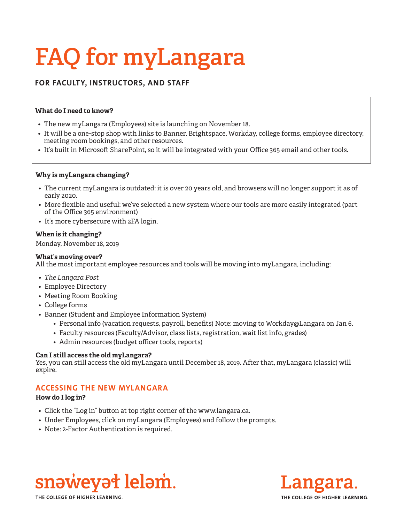# **FAQ for myLangara**

# **FOR FACULTY, INSTRUCTORS, AND STAFF**

## **What do I need to know?**

- The new myLangara (Employees) site is launching on November 18.
- It will be a one-stop shop with links to Banner, Brightspace, Workday, college forms, employee directory, meeting room bookings, and other resources.
- It's built in Microsoft SharePoint, so it will be integrated with your Office 365 email and other tools.

## **Why is myLangara changing?**

- The current myLangara is outdated: it is over 20 years old, and browsers will no longer support it as of early 2020.
- More flexible and useful: we've selected a new system where our tools are more easily integrated (part of the Office 365 environment)
- It's more cybersecure with 2FA login.

## **When is it changing?**

Monday, November 18, 2019

#### **What's moving over?**

All the most important employee resources and tools will be moving into myLangara, including:

- *• The Langara Post*
- Employee Directory
- Meeting Room Booking
- College forms
- Banner (Student and Employee Information System)
	- Personal info (vacation requests, payroll, benefits) Note: moving to Workday@Langara on Jan 6.
	- Faculty resources (Faculty/Advisor, class lists, registration, wait list info, grades)
	- Admin resources (budget officer tools, reports)

#### **Can I still access the old myLangara?**

Yes, you can still access the old myLangara until December 18, 2019. After that, myLangara (classic) will expire.

# **ACCESSING THE NEW MYLANGARA**

# **How do I log in?**

- Click the "Log in" button at top right corner of the www.langara.ca.
- Under Employees, click on myLangara (Employees) and follow the prompts.
- Note: 2-Factor Authentication is required.





THE COLLEGE OF HIGHER LEARNING.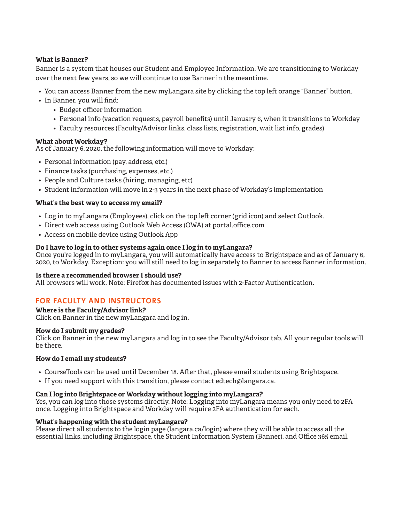## **What is Banner?**

Banner is a system that houses our Student and Employee Information. We are transitioning to Workday over the next few years, so we will continue to use Banner in the meantime.

- You can access Banner from the new myLangara site by clicking the top left orange "Banner" button.
- In Banner, you will find:
	- Budget officer information
	- Personal info (vacation requests, payroll benefits) until January 6, when it transitions to Workday
	- Faculty resources (Faculty/Advisor links, class lists, registration, wait list info, grades)

#### **What about Workday?**

As of January 6, 2020, the following information will move to Workday:

- Personal information (pay, address, etc.)
- Finance tasks (purchasing, expenses, etc.)
- People and Culture tasks (hiring, managing, etc)
- Student information will move in 2-3 years in the next phase of Workday's implementation

## **What's the best way to access my email?**

- Log in to myLangara (Employees), click on the top left corner (grid icon) and select Outlook.
- Direct web access using Outlook Web Access (OWA) at portal.office.com
- Access on mobile device using Outlook App

## **Do I have to log in to other systems again once I log in to myLangara?**

Once you're logged in to myLangara, you will automatically have access to Brightspace and as of January 6, 2020, to Workday. Exception: you will still need to log in separately to Banner to access Banner information.

#### **Is there a recommended browser I should use?**

All browsers will work. Note: Firefox has documented issues with 2-Factor Authentication.

# **FOR FACULTY AND INSTRUCTORS**

**Where is the Faculty/Advisor link?**

Click on Banner in the new myLangara and log in.

#### **How do I submit my grades?**

Click on Banner in the new myLangara and log in to see the Faculty/Advisor tab. All your regular tools will be there.

#### **How do I email my students?**

- CourseTools can be used until December 18. After that, please email students using Brightspace.
- If you need support with this transition, please contact edtech@langara.ca.

#### **Can I log into Brightspace or Workday without logging into myLangara?**

Yes, you can log into those systems directly. Note: Logging into myLangara means you only need to 2FA once. Logging into Brightspace and Workday will require 2FA authentication for each.

#### **What's happening with the student myLangara?**

Please direct all students to the login page (langara.ca/login) where they will be able to access all the essential links, including Brightspace, the Student Information System (Banner), and Office 365 email.